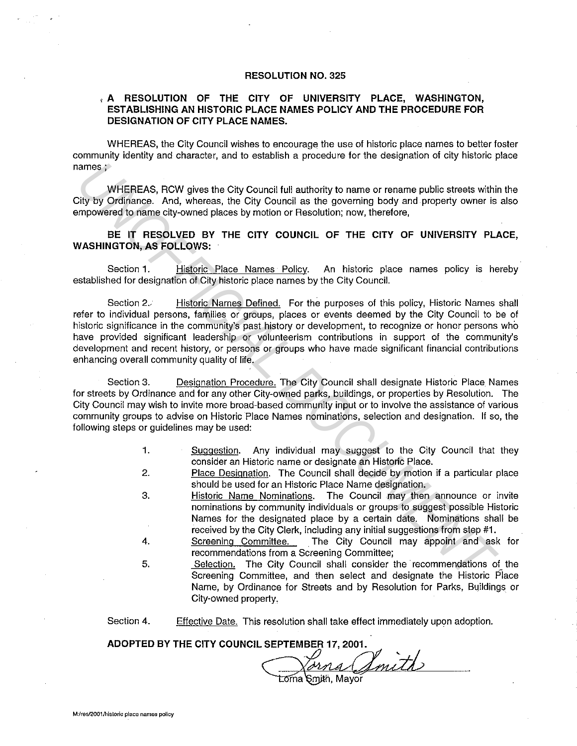## **RESOLUTION NO.** 325

## , **A RESOLUTION OF THE CITY OF UNIVERSITY PLACE, WASHINGTON, ESTABLISHING AN HISTORIC PLACE NAMES POLICY AND THE PROCEDURE FOR DESIGNATION OF CITY PLACE NAMES.**

WHEREAS, the City Council wishes to encourage the use of historic place names to better foster community identity and character, and to establish a procedure for the designation of city historic place **names;** 

WHEREAS, RCW gives the City Council full authority to name or rename public streets within the City by Ordinance. And, whereas, the City Council as the governing body and property owner is also empowered to name city-owned places by motion or Resolution; now, therefore,

**BE IT RESOLVED BY THE CITY COUNCIL OF THE CITY OF UNIVERSITY PLACE, WASHINGTON, AS FOLLOWS:** 

Section 1. Historic Place Names Policy. An historic place names policy is hereby established for designation of City historic place names by the City Council.

Section 2.. **Historic Names Defined.** For the purposes of this policy, Historic Names shall refer to individual persons, families or groups, places or events deemed by the City Council to be of historic significance in the community's past history or development, to recognize or honor persons who have provided significant leadership or volunteerism contributions in support of the community's development and recent history, or persons or groups who have made significant financial contributions enhancing overall community quality of life. ames;<br> **WHEREAS, RCW gives the City Council tull authority to name or rename public streats with<br>
UV Ordinance. And, whereas, the City Council as the governing body and property owner is<br>
UV Ordinance. And, whereas, the Ci** 

Section 3. Designation Procedure. The City Council shall designate Historic Place Names for streets by Ordinance and for any other City-owned parks, buildings, or properties by Resolution. The City Council rnay wish to invite more broad-based community input or to involve the assistance of various community groups to advise on Historic Place Names nominations, selection and designation. If so, the following steps or guidelines may be used:

- 1. Suggestion. Any individual may suggest to the City Council that they consider an Historic name or designate an Historic Place.
- 2. Place Designation. The Council shall decide by motion if a particular place should be used for an Historic Place Name designation.
- 3. Historic Name Nominations. The Council may then announce or invite nominations by community individuals or groups to suggest possible Historic Names for the designated place by a certain date. Nominations shall be received by the City Clerk, including any initial suggestions from step #1.
- 4. Screening Committee. The City Council may appoint and ask for recommendations from a Screening Committee;
- 5. Selection. The City Council shall consider the recommendations of the Screening Committee, and then select and designate the Historic Piace Name, by Ordinance for Streets and by Resolution for Parks, Buildings or City-owned property.

Section 4. Effective Date. This resolution shall take effect immediately upon adoption.

**ADOPTED BY THE CITY COUNCIL SEPTEMBER 17, 2001.** 

<u>arna Amith</u>